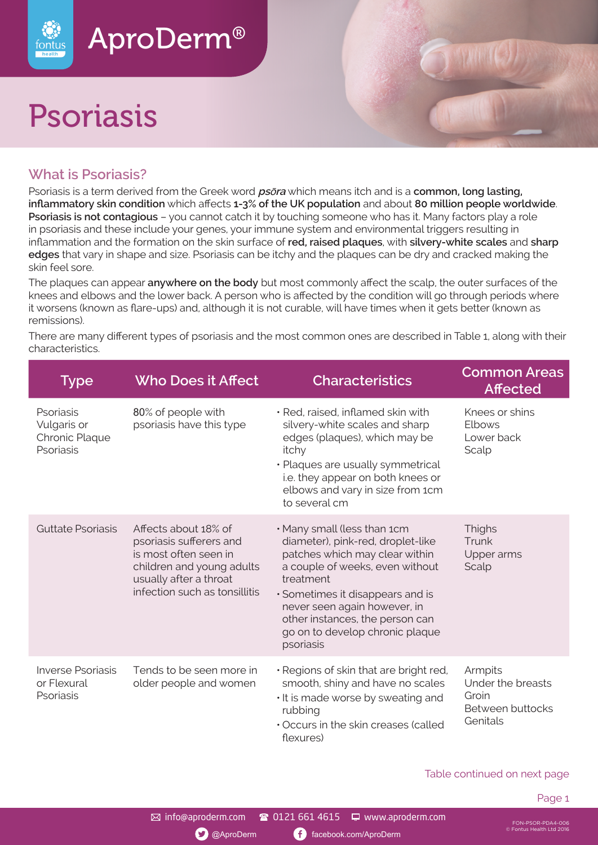

# Psoriasis

fontus



Psoriasis is a term derived from the Greek word **ps**ō**ra** which means itch and is a **common, long lasting, inflammatory skin condition** which affects **1-3% of the UK population** and about **80 million people worldwide**. **Psoriasis is not contagious** – you cannot catch it by touching someone who has it. Many factors play a role in psoriasis and these include your genes, your immune system and environmental triggers resulting in inflammation and the formation on the skin surface of **red, raised plaques**, with **silvery-white scales** and **sharp edges** that vary in shape and size. Psoriasis can be itchy and the plaques can be dry and cracked making the skin feel sore.

The plaques can appear **anywhere on the body** but most commonly affect the scalp, the outer surfaces of the knees and elbows and the lower back. A person who is affected by the condition will go through periods where it worsens (known as flare-ups) and, although it is not curable, will have times when it gets better (known as remissions).

There are many different types of psoriasis and the most common ones are described in Table 1, along with their characteristics.

| <b>Type</b>                                             | <b>Who Does it Affect</b>                                                                                                                                        | <b>Characteristics</b>                                                                                                                                                                                                                                                                                    | <b>Common Areas</b><br><b>Affected</b>                                |
|---------------------------------------------------------|------------------------------------------------------------------------------------------------------------------------------------------------------------------|-----------------------------------------------------------------------------------------------------------------------------------------------------------------------------------------------------------------------------------------------------------------------------------------------------------|-----------------------------------------------------------------------|
| Psoriasis<br>Vulgaris or<br>Chronic Plaque<br>Psoriasis | 80% of people with<br>psoriasis have this type                                                                                                                   | · Red, raised, inflamed skin with<br>silvery-white scales and sharp<br>edges (plaques), which may be<br>itchy<br>· Plaques are usually symmetrical<br>i.e. they appear on both knees or<br>elbows and vary in size from 1cm<br>to several cm                                                              | Knees or shins<br>Elbows<br>Lower back<br>Scalp                       |
| Guttate Psoriasis                                       | Affects about 18% of<br>psoriasis sufferers and<br>is most often seen in<br>children and young adults<br>usually after a throat<br>infection such as tonsillitis | • Many small (less than 1cm<br>diameter), pink-red, droplet-like<br>patches which may clear within<br>a couple of weeks, even without<br>treatment<br>· Sometimes it disappears and is<br>never seen again however, in<br>other instances, the person can<br>go on to develop chronic plaque<br>psoriasis | Thighs<br>Trunk<br>Upper arms<br>Scalp                                |
| Inverse Psoriasis<br>or Flexural<br>Psoriasis           | Tends to be seen more in<br>older people and women                                                                                                               | · Regions of skin that are bright red,<br>smooth, shiny and have no scales<br>. It is made worse by sweating and<br>rubbing<br>Occurs in the skin creases (called<br>flexures)                                                                                                                            | Armpits<br>Under the breasts<br>Groin<br>Between buttocks<br>Genitals |

Table continued on next page

FON-PSOR-PDA4-006 © Fontus Health Ltd 2016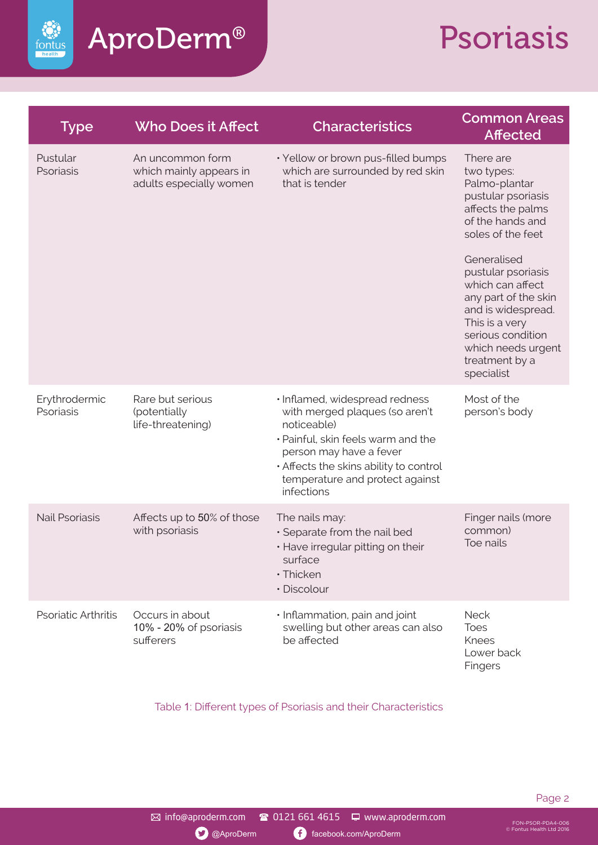

### AproDerm®

# Psoriasis

| <b>Type</b>                | <b>Who Does it Affect</b>                                              | <b>Characteristics</b>                                                                                                                                                                                                                      | <b>Common Areas</b><br><b>Affected</b>                                                                                                                                                                                                                                                                                           |
|----------------------------|------------------------------------------------------------------------|---------------------------------------------------------------------------------------------------------------------------------------------------------------------------------------------------------------------------------------------|----------------------------------------------------------------------------------------------------------------------------------------------------------------------------------------------------------------------------------------------------------------------------------------------------------------------------------|
| Pustular<br>Psoriasis      | An uncommon form<br>which mainly appears in<br>adults especially women | · Yellow or brown pus-filled bumps<br>which are surrounded by red skin<br>that is tender                                                                                                                                                    | There are<br>two types:<br>Palmo-plantar<br>pustular psoriasis<br>affects the palms<br>of the hands and<br>soles of the feet<br>Generalised<br>pustular psoriasis<br>which can affect<br>any part of the skin<br>and is widespread.<br>This is a very<br>serious condition<br>which needs urgent<br>treatment by a<br>specialist |
| Erythrodermic<br>Psoriasis | Rare but serious<br>(potentially<br>life-threatening)                  | · Inflamed, widespread redness<br>with merged plaques (so aren't<br>noticeable)<br>· Painful, skin feels warm and the<br>person may have a fever<br>. Affects the skins ability to control<br>temperature and protect against<br>infections | Most of the<br>person's body                                                                                                                                                                                                                                                                                                     |
| <b>Nail Psoriasis</b>      | Affects up to 50% of those<br>with psoriasis                           | The nails may:<br>· Separate from the nail bed<br>• Have irregular pitting on their<br>surface<br>· Thicken<br>· Discolour                                                                                                                  | Finger nails (more<br>common)<br>Toe nails                                                                                                                                                                                                                                                                                       |
| <b>Psoriatic Arthritis</b> | Occurs in about<br>10% - 20% of psoriasis<br>sufferers                 | · Inflammation, pain and joint<br>swelling but other areas can also<br>be affected                                                                                                                                                          | <b>Neck</b><br><b>Toes</b><br><b>Knees</b><br>Lower back<br>Fingers                                                                                                                                                                                                                                                              |

Table 1: Different types of Psoriasis and their Characteristics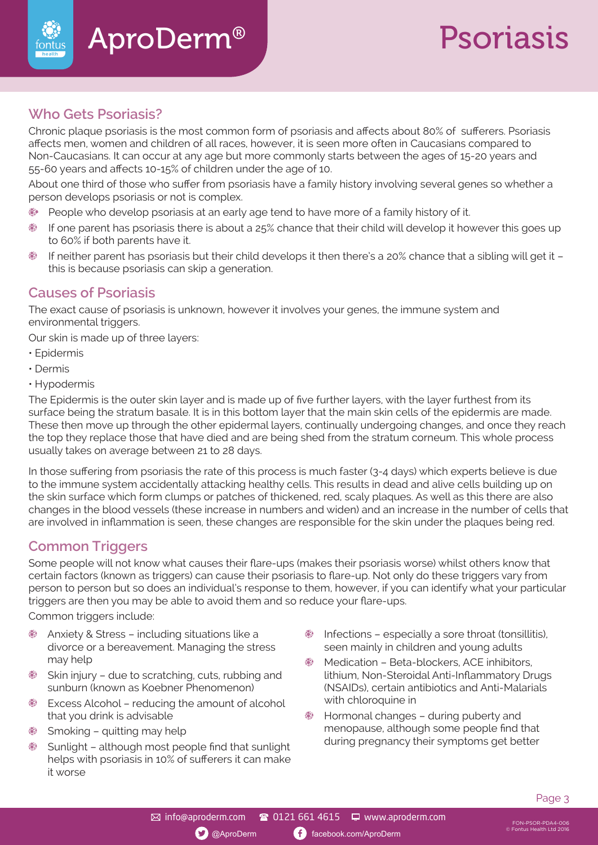

## Psoriasis

### **Who Gets Psoriasis?**

fontu:

Chronic plaque psoriasis is the most common form of psoriasis and affects about 80% of sufferers. Psoriasis affects men, women and children of all races, however, it is seen more often in Caucasians compared to Non-Caucasians. It can occur at any age but more commonly starts between the ages of 15-20 years and 55-60 years and affects 10-15% of children under the age of 10.

About one third of those who suffer from psoriasis have a family history involving several genes so whether a person develops psoriasis or not is complex.

- People who develop psoriasis at an early age tend to have more of a family history of it. 89
- If one parent has psoriasis there is about a 25% chance that their child will develop it however this goes up 89 to 60% if both parents have it.
- 80 If neither parent has psoriasis but their child develops it then there's a 20% chance that a sibling will get it – this is because psoriasis can skip a generation.

### **Causes of Psoriasis**

The exact cause of psoriasis is unknown, however it involves your genes, the immune system and environmental triggers.

Our skin is made up of three layers:

- Epidermis
- Dermis
- Hypodermis

The Epidermis is the outer skin layer and is made up of five further layers, with the layer furthest from its surface being the stratum basale. It is in this bottom layer that the main skin cells of the epidermis are made. These then move up through the other epidermal layers, continually undergoing changes, and once they reach the top they replace those that have died and are being shed from the stratum corneum. This whole process usually takes on average between 21 to 28 days.

In those suffering from psoriasis the rate of this process is much faster (3-4 days) which experts believe is due to the immune system accidentally attacking healthy cells. This results in dead and alive cells building up on the skin surface which form clumps or patches of thickened, red, scaly plaques. As well as this there are also changes in the blood vessels (these increase in numbers and widen) and an increase in the number of cells that are involved in inflammation is seen, these changes are responsible for the skin under the plaques being red.

#### **Common Triggers**

Some people will not know what causes their flare-ups (makes their psoriasis worse) whilst others know that certain factors (known as triggers) can cause their psoriasis to flare-up. Not only do these triggers vary from person to person but so does an individual's response to them, however, if you can identify what your particular triggers are then you may be able to avoid them and so reduce your flare-ups.

Common triggers include:

- Anxiety & Stress including situations like a divorce or a bereavement. Managing the stress may help
- Skin injury due to scratching, cuts, rubbing and sunburn (known as Koebner Phenomenon)
- Excess Alcohol reducing the amount of alcohol that you drink is advisable
- Smoking quitting may help
- Sunlight although most people find that sunlight helps with psoriasis in 10% of sufferers it can make it worse
- Infections especially a sore throat (tonsillitis), seen mainly in children and young adults
- Medication Beta-blockers, ACE inhibitors, lithium, Non-Steroidal Anti-Inflammatory Drugs (NSAIDs), certain antibiotics and Anti-Malarials with chloroquine in
- Hormonal changes during puberty and menopause, although some people find that during pregnancy their symptoms get better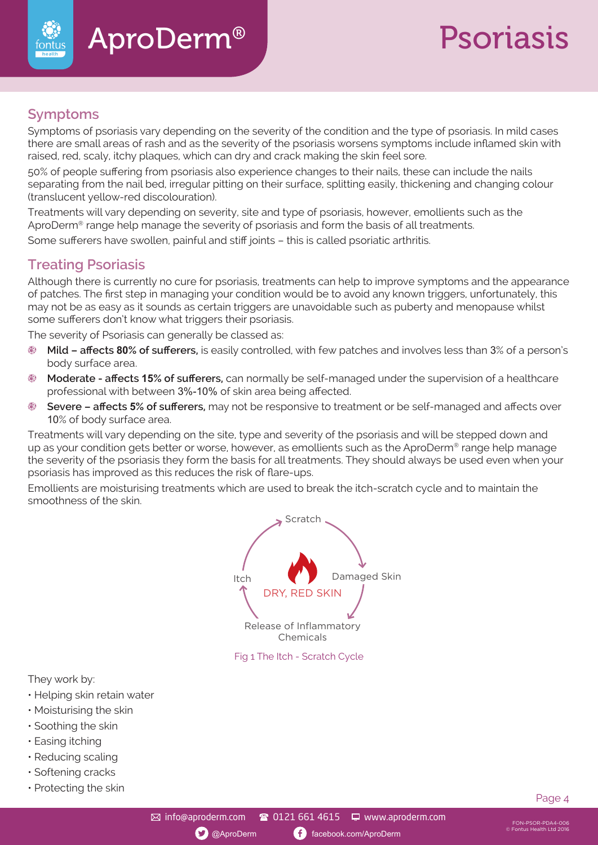# Psoriasis

### **Symptoms**

fontus

Symptoms of psoriasis vary depending on the severity of the condition and the type of psoriasis. In mild cases there are small areas of rash and as the severity of the psoriasis worsens symptoms include inflamed skin with raised, red, scaly, itchy plaques, which can dry and crack making the skin feel sore.

50% of people suffering from psoriasis also experience changes to their nails, these can include the nails separating from the nail bed, irregular pitting on their surface, splitting easily, thickening and changing colour (translucent yellow-red discolouration).

Treatments will vary depending on severity, site and type of psoriasis, however, emollients such as the AproDerm® range help manage the severity of psoriasis and form the basis of all treatments.

Some sufferers have swollen, painful and stiff joints – this is called psoriatic arthritis.

### **Treating Psoriasis**

Although there is currently no cure for psoriasis, treatments can help to improve symptoms and the appearance of patches. The first step in managing your condition would be to avoid any known triggers, unfortunately, this may not be as easy as it sounds as certain triggers are unavoidable such as puberty and menopause whilst some sufferers don't know what triggers their psoriasis.

The severity of Psoriasis can generally be classed as:

- **Mild affects 80% of sufferers,** is easily controlled, with few patches and involves less than 3% of a person's body surface area.
- **Moderate affects 15% of sufferers,** can normally be self-managed under the supervision of a healthcare professional with between 3%-10% of skin area being affected.
- **Severe affects 5% of sufferers,** may not be responsive to treatment or be self-managed and affects over 10% of body surface area.

Treatments will vary depending on the site, type and severity of the psoriasis and will be stepped down and up as your condition gets better or worse, however, as emollients such as the AproDerm® range help manage the severity of the psoriasis they form the basis for all treatments. They should always be used even when your psoriasis has improved as this reduces the risk of flare-ups.

Emollients are moisturising treatments which are used to break the itch-scratch cycle and to maintain the smoothness of the skin.



They work by:

- Helping skin retain water
- Moisturising the skin
- Soothing the skin
- Easing itching
- Reducing scaling
- Softening cracks
- Protecting the skin Page 4